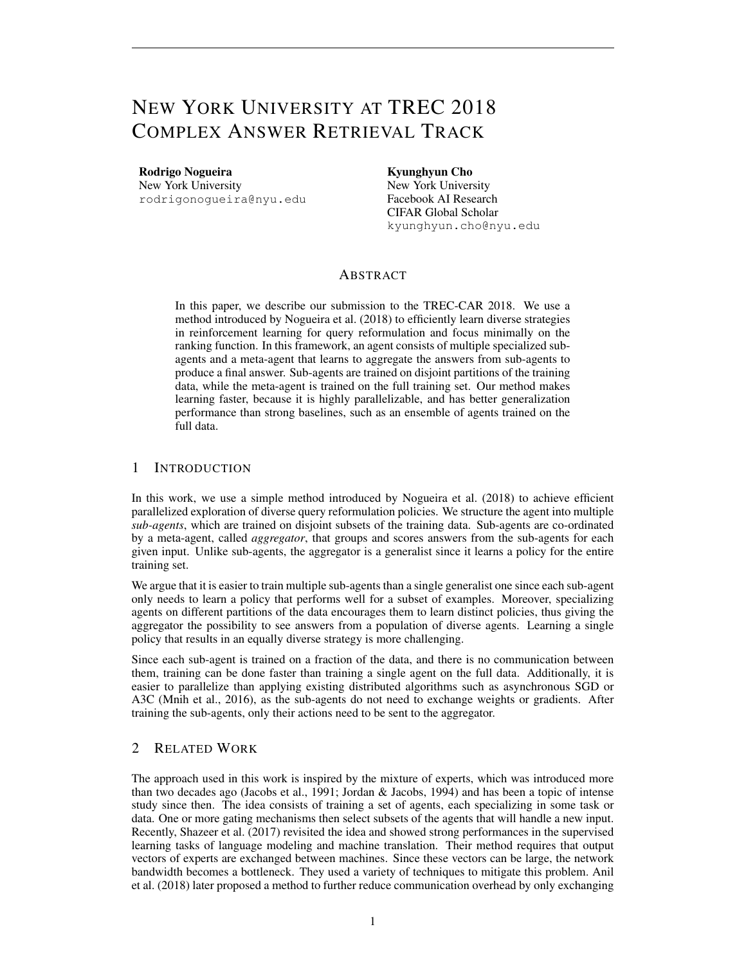# NEW YORK UNIVERSITY AT TREC 2018 COMPLEX ANSWER RETRIEVAL TRACK

Rodrigo Nogueira New York University

rodrigonogueira@nyu.edu

Kyunghyun Cho New York University Facebook AI Research CIFAR Global Scholar kyunghyun.cho@nyu.edu

# ABSTRACT

In this paper, we describe our submission to the TREC-CAR 2018. We use a method introduced by Nogueira et al. (2018) to efficiently learn diverse strategies in reinforcement learning for query reformulation and focus minimally on the ranking function. In this framework, an agent consists of multiple specialized subagents and a meta-agent that learns to aggregate the answers from sub-agents to produce a final answer. Sub-agents are trained on disjoint partitions of the training data, while the meta-agent is trained on the full training set. Our method makes learning faster, because it is highly parallelizable, and has better generalization performance than strong baselines, such as an ensemble of agents trained on the full data.

## 1 INTRODUCTION

In this work, we use a simple method introduced by Nogueira et al. (2018) to achieve efficient parallelized exploration of diverse query reformulation policies. We structure the agent into multiple *sub-agents*, which are trained on disjoint subsets of the training data. Sub-agents are co-ordinated by a meta-agent, called *aggregator*, that groups and scores answers from the sub-agents for each given input. Unlike sub-agents, the aggregator is a generalist since it learns a policy for the entire training set.

We argue that it is easier to train multiple sub-agents than a single generalist one since each sub-agent only needs to learn a policy that performs well for a subset of examples. Moreover, specializing agents on different partitions of the data encourages them to learn distinct policies, thus giving the aggregator the possibility to see answers from a population of diverse agents. Learning a single policy that results in an equally diverse strategy is more challenging.

Since each sub-agent is trained on a fraction of the data, and there is no communication between them, training can be done faster than training a single agent on the full data. Additionally, it is easier to parallelize than applying existing distributed algorithms such as asynchronous SGD or A3C (Mnih et al., 2016), as the sub-agents do not need to exchange weights or gradients. After training the sub-agents, only their actions need to be sent to the aggregator.

# 2 RELATED WORK

The approach used in this work is inspired by the mixture of experts, which was introduced more than two decades ago (Jacobs et al., 1991; Jordan & Jacobs, 1994) and has been a topic of intense study since then. The idea consists of training a set of agents, each specializing in some task or data. One or more gating mechanisms then select subsets of the agents that will handle a new input. Recently, Shazeer et al. (2017) revisited the idea and showed strong performances in the supervised learning tasks of language modeling and machine translation. Their method requires that output vectors of experts are exchanged between machines. Since these vectors can be large, the network bandwidth becomes a bottleneck. They used a variety of techniques to mitigate this problem. Anil et al. (2018) later proposed a method to further reduce communication overhead by only exchanging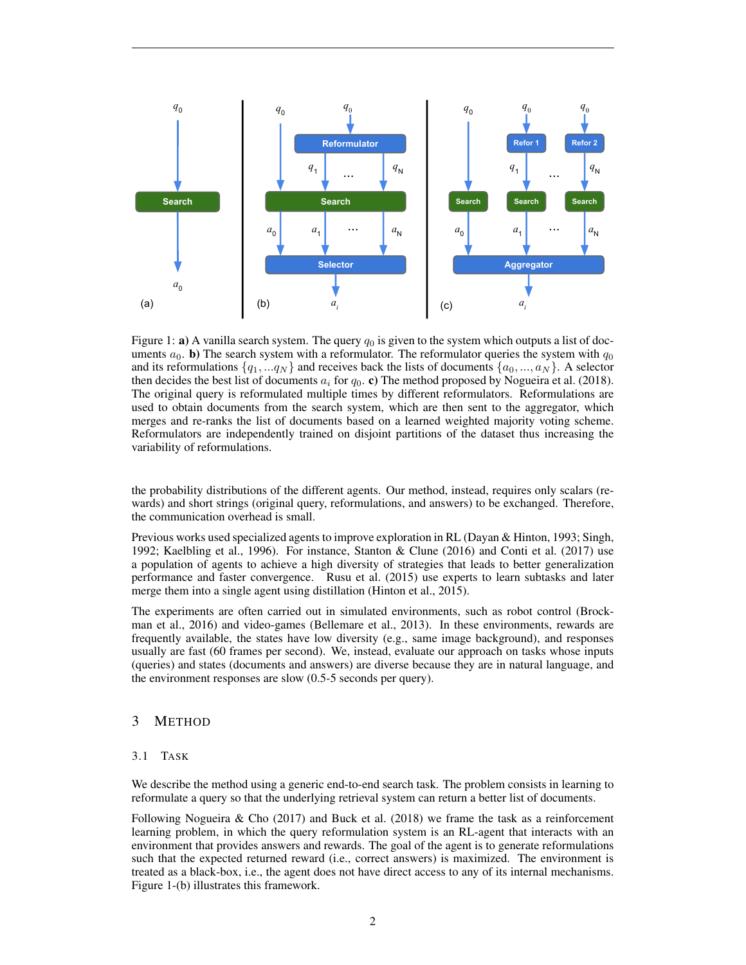

Figure 1: a) A vanilla search system. The query  $q_0$  is given to the system which outputs a list of documents  $a_0$ . b) The search system with a reformulator. The reformulator queries the system with  $q_0$ and its reformulations  $\{q_1, \ldots q_N\}$  and receives back the lists of documents  $\{a_0, \ldots, a_N\}$ . A selector then decides the best list of documents  $a_i$  for  $q_0$ . c) The method proposed by Nogueira et al. (2018). The original query is reformulated multiple times by different reformulators. Reformulations are used to obtain documents from the search system, which are then sent to the aggregator, which merges and re-ranks the list of documents based on a learned weighted majority voting scheme. Reformulators are independently trained on disjoint partitions of the dataset thus increasing the variability of reformulations.

the probability distributions of the different agents. Our method, instead, requires only scalars (rewards) and short strings (original query, reformulations, and answers) to be exchanged. Therefore, the communication overhead is small.

Previous works used specialized agents to improve exploration in RL (Dayan & Hinton, 1993; Singh, 1992; Kaelbling et al., 1996). For instance, Stanton & Clune (2016) and Conti et al. (2017) use a population of agents to achieve a high diversity of strategies that leads to better generalization performance and faster convergence. Rusu et al. (2015) use experts to learn subtasks and later merge them into a single agent using distillation (Hinton et al., 2015).

The experiments are often carried out in simulated environments, such as robot control (Brockman et al., 2016) and video-games (Bellemare et al., 2013). In these environments, rewards are frequently available, the states have low diversity (e.g., same image background), and responses usually are fast (60 frames per second). We, instead, evaluate our approach on tasks whose inputs (queries) and states (documents and answers) are diverse because they are in natural language, and the environment responses are slow (0.5-5 seconds per query).

## 3 METHOD

#### 3.1 TASK

We describe the method using a generic end-to-end search task. The problem consists in learning to reformulate a query so that the underlying retrieval system can return a better list of documents.

Following Nogueira & Cho (2017) and Buck et al. (2018) we frame the task as a reinforcement learning problem, in which the query reformulation system is an RL-agent that interacts with an environment that provides answers and rewards. The goal of the agent is to generate reformulations such that the expected returned reward (i.e., correct answers) is maximized. The environment is treated as a black-box, i.e., the agent does not have direct access to any of its internal mechanisms. Figure 1-(b) illustrates this framework.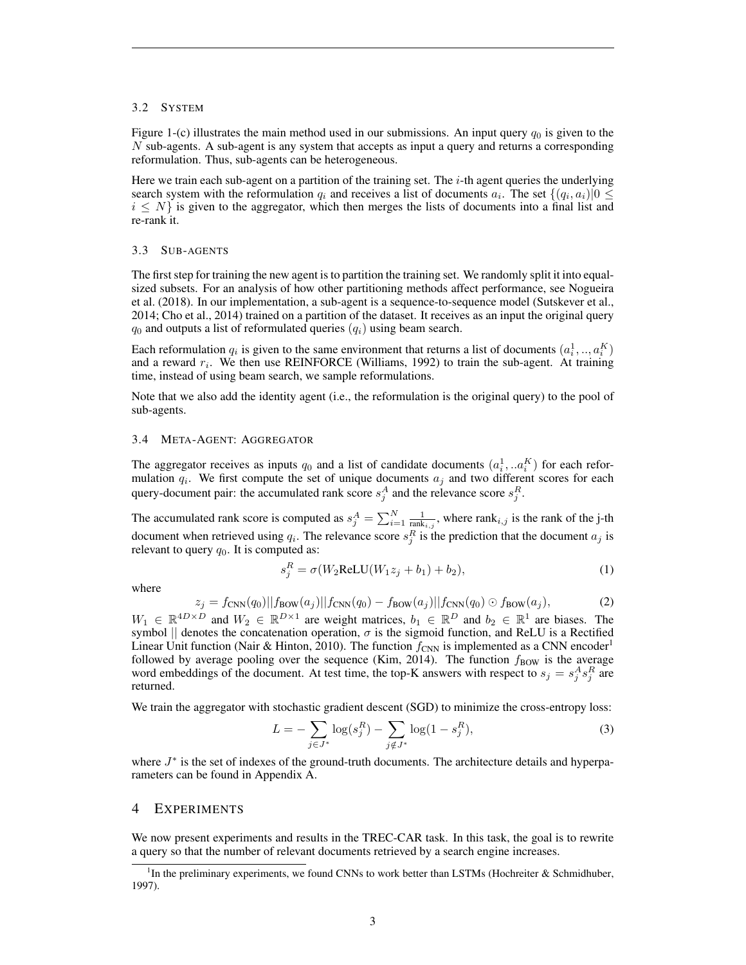#### 3.2 SYSTEM

Figure 1-(c) illustrates the main method used in our submissions. An input query  $q_0$  is given to the  $N$  sub-agents. A sub-agent is any system that accepts as input a query and returns a corresponding reformulation. Thus, sub-agents can be heterogeneous.

Here we train each sub-agent on a partition of the training set. The  $i$ -th agent queries the underlying search system with the reformulation  $q_i$  and receives a list of documents  $a_i$ . The set  $\{(q_i, a_i)|0 \leq$  $i \leq N$  is given to the aggregator, which then merges the lists of documents into a final list and re-rank it.

#### 3.3 SUB-AGENTS

The first step for training the new agent is to partition the training set. We randomly split it into equalsized subsets. For an analysis of how other partitioning methods affect performance, see Nogueira et al. (2018). In our implementation, a sub-agent is a sequence-to-sequence model (Sutskever et al., 2014; Cho et al., 2014) trained on a partition of the dataset. It receives as an input the original query  $q_0$  and outputs a list of reformulated queries  $(q_i)$  using beam search.

Each reformulation  $q_i$  is given to the same environment that returns a list of documents  $(a_i^1, ..., a_i^K)$ and a reward  $r_i$ . We then use REINFORCE (Williams, 1992) to train the sub-agent. At training time, instead of using beam search, we sample reformulations.

Note that we also add the identity agent (i.e., the reformulation is the original query) to the pool of sub-agents.

#### 3.4 META-AGENT: AGGREGATOR

The aggregator receives as inputs  $q_0$  and a list of candidate documents  $(a_i^1, a_i^K)$  for each reformulation  $q_i$ . We first compute the set of unique documents  $a_j$  and two different scores for each query-document pair: the accumulated rank score  $s_j^A$  and the relevance score  $s_j^R$ .

The accumulated rank score is computed as  $s_j^A = \sum_{i=1}^N \frac{1}{\text{rank}_{i,j}}$ , where rank $i,j$  is the rank of the j-th document when retrieved using  $q_i$ . The relevance score  $s_j^R$  is the prediction that the document  $a_j$  is relevant to query  $q_0$ . It is computed as:

$$
s_j^R = \sigma(W_2 \text{ReLU}(W_1 z_j + b_1) + b_2),\tag{1}
$$

where

$$
z_j = f_{\text{CNN}}(q_0) || f_{\text{BOW}}(a_j) || f_{\text{CNN}}(q_0) - f_{\text{BOW}}(a_j) || f_{\text{CNN}}(q_0) \odot f_{\text{BOW}}(a_j), \tag{2}
$$

 $W_1 \in \mathbb{R}^{4D \times D}$  and  $W_2 \in \mathbb{R}^{D \times 1}$  are weight matrices,  $b_1 \in \mathbb{R}^{D}$  and  $b_2 \in \mathbb{R}^{1}$  are biases. The symbol || denotes the concatenation operation,  $\sigma$  is the sigmoid function, and ReLU is a Rectified Linear Unit function (Nair & Hinton, 2010). The function  $f_{\text{CNN}}$  is implemented as a CNN encoder<sup>1</sup> followed by average pooling over the sequence (Kim, 2014). The function  $f_{\text{BOW}}$  is the average word embeddings of the document. At test time, the top-K answers with respect to  $s_j = s_j^A s_j^R$  are returned.

We train the aggregator with stochastic gradient descent (SGD) to minimize the cross-entropy loss:

$$
L = -\sum_{j \in J^*} \log(s_j^R) - \sum_{j \notin J^*} \log(1 - s_j^R),\tag{3}
$$

where  $J^*$  is the set of indexes of the ground-truth documents. The architecture details and hyperparameters can be found in Appendix A.

#### 4 EXPERIMENTS

We now present experiments and results in the TREC-CAR task. In this task, the goal is to rewrite a query so that the number of relevant documents retrieved by a search engine increases.

<sup>&</sup>lt;sup>1</sup>In the preliminary experiments, we found CNNs to work better than LSTMs (Hochreiter & Schmidhuber, 1997).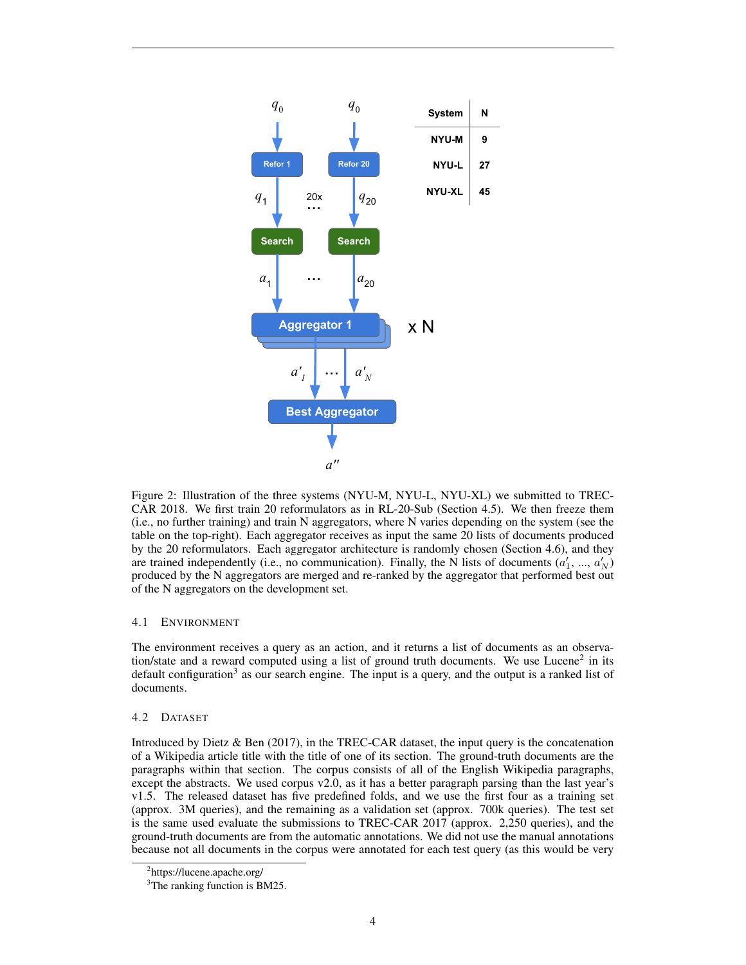

Figure 2: Illustration of the three systems (NYU-M, NYU-L, NYU-XL) we submitted to TREC-CAR 2018. We first train 20 reformulators as in RL-20-Sub (Section 4.5). We then freeze them (i.e., no further training) and train N aggregators, where N varies depending on the system (see the table on the top-right). Each aggregator receives as input the same 20 lists of documents produced by the 20 reformulators. Each aggregator architecture is randomly chosen (Section 4.6), and they are trained independently (i.e., no communication). Finally, the N lists of documents  $(a'_1, ..., a'_N)$ produced by the N aggregators are merged and re-ranked by the aggregator that performed best out of the N aggregators on the development set.

#### 4.1 ENVIRONMENT

The environment receives a query as an action, and it returns a list of documents as an observation/state and a reward computed using a list of ground truth documents. We use Lucene<sup>2</sup> in its default configuration<sup>3</sup> as our search engine. The input is a query, and the output is a ranked list of documents.

#### 4.2 DATASET

Introduced by Dietz & Ben (2017), in the TREC-CAR dataset, the input query is the concatenation of a Wikipedia article title with the title of one of its section. The ground-truth documents are the paragraphs within that section. The corpus consists of all of the English Wikipedia paragraphs, except the abstracts. We used corpus v2.0, as it has a better paragraph parsing than the last year's v1.5. The released dataset has five predefined folds, and we use the first four as a training set (approx. 3M queries), and the remaining as a validation set (approx. 700k queries). The test set is the same used evaluate the submissions to TREC-CAR 2017 (approx. 2,250 queries), and the ground-truth documents are from the automatic annotations. We did not use the manual annotations because not all documents in the corpus were annotated for each test query (as this would be very

<sup>2</sup> https://lucene.apache.org/

<sup>&</sup>lt;sup>3</sup>The ranking function is BM25.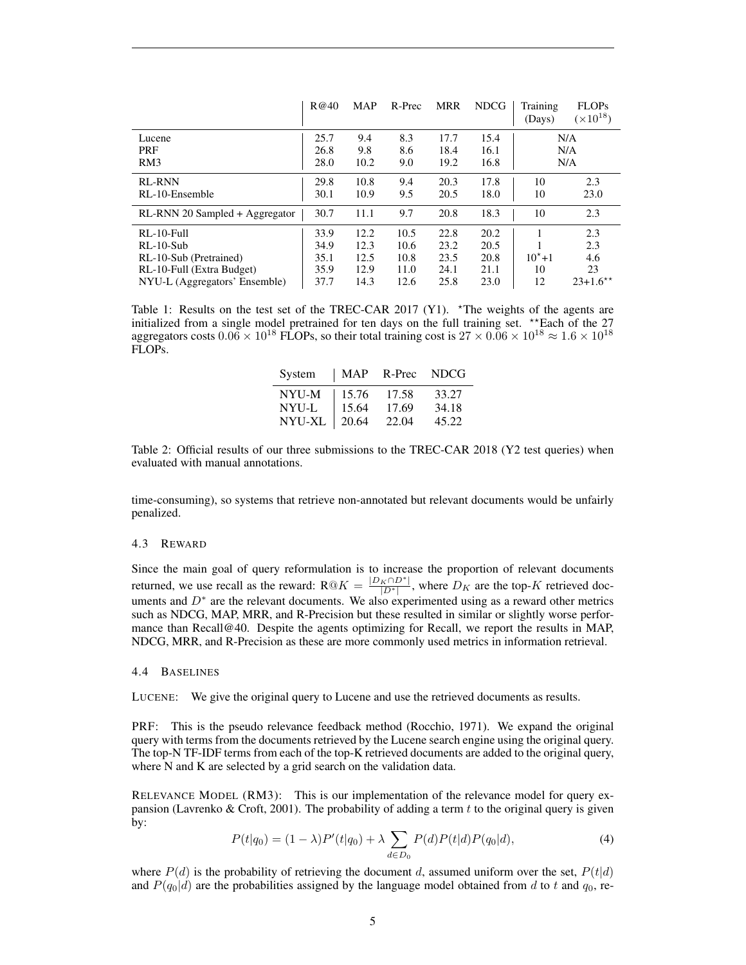|                                | R@40 | <b>MAP</b> | R-Prec | <b>MRR</b> | <b>NDCG</b> | Training<br>(Days) | <b>FLOPs</b><br>$(\times 10^{18})$ |
|--------------------------------|------|------------|--------|------------|-------------|--------------------|------------------------------------|
| Lucene                         | 25.7 | 9.4        | 8.3    | 17.7       | 15.4        |                    | N/A                                |
| PRF                            | 26.8 | 9.8        | 8.6    | 18.4       | 16.1        |                    | N/A                                |
| RM3                            | 28.0 | 10.2       | 9.0    | 19.2       | 16.8        |                    | N/A                                |
| <b>RL-RNN</b>                  | 29.8 | 10.8       | 9.4    | 20.3       | 17.8        | 10                 | 2.3                                |
| RL-10-Ensemble                 | 30.1 | 10.9       | 9.5    | 20.5       | 18.0        | 10                 | 23.0                               |
| RL-RNN 20 Sampled + Aggregator | 30.7 | 11.1       | 9.7    | 20.8       | 18.3        | 10                 | 2.3                                |
| $RI - 10$ -Full                | 33.9 | 12.2       | 10.5   | 22.8       | 20.2        |                    | 2.3                                |
| $RL-10-Sub$                    | 34.9 | 12.3       | 10.6   | 23.2       | 20.5        |                    | 2.3                                |
| RL-10-Sub (Pretrained)         | 35.1 | 12.5       | 10.8   | 23.5       | 20.8        | $10^{*}+1$         | 4.6                                |
| RL-10-Full (Extra Budget)      | 35.9 | 12.9       | 11.0   | 24.1       | 21.1        | 10                 | 23                                 |
| NYU-L (Aggregators' Ensemble)  | 37.7 | 14.3       | 12.6   | 25.8       | 23.0        | 12                 | $23+1.6**$                         |

Table 1: Results on the test set of the TREC-CAR 2017 (Y1). \*The weights of the agents are initialized from a single model pretrained for ten days on the full training set. \*\*Each of the  $27$ aggregators costs  $0.06 \times 10^{18}$  FLOPs, so their total training cost is  $27 \times 0.06 \times 10^{18} \approx 1.6 \times 10^{18}$ FLOPs.

| System       | MAP   | R-Prec | <b>NDCG</b> |
|--------------|-------|--------|-------------|
| <b>NYU-M</b> | 15.76 | 17.58  | 33.27       |
| NYU-L        | 15.64 | 17.69  | 34.18       |
| NYU-XL       | 20.64 | 22.04  | 45.22       |

Table 2: Official results of our three submissions to the TREC-CAR 2018 (Y2 test queries) when evaluated with manual annotations.

time-consuming), so systems that retrieve non-annotated but relevant documents would be unfairly penalized.

#### 4.3 REWARD

Since the main goal of query reformulation is to increase the proportion of relevant documents returned, we use recall as the reward:  $R@K = \frac{|D_K \cap D^*|}{|D^*|}$ , where  $D_K$  are the top-K retrieved documents and  $D^*$  are the relevant documents. We also experimented using as a reward other metrics such as NDCG, MAP, MRR, and R-Precision but these resulted in similar or slightly worse performance than Recall@40. Despite the agents optimizing for Recall, we report the results in MAP, NDCG, MRR, and R-Precision as these are more commonly used metrics in information retrieval.

#### 4.4 BASELINES

LUCENE: We give the original query to Lucene and use the retrieved documents as results.

PRF: This is the pseudo relevance feedback method (Rocchio, 1971). We expand the original query with terms from the documents retrieved by the Lucene search engine using the original query. The top-N TF-IDF terms from each of the top-K retrieved documents are added to the original query, where N and K are selected by a grid search on the validation data.

RELEVANCE MODEL (RM3): This is our implementation of the relevance model for query expansion (Lavrenko & Croft, 2001). The probability of adding a term  $t$  to the original query is given by:

$$
P(t|q_0) = (1 - \lambda)P'(t|q_0) + \lambda \sum_{d \in D_0} P(d)P(t|d)P(q_0|d),
$$
\n(4)

where  $P(d)$  is the probability of retrieving the document d, assumed uniform over the set,  $P(t|d)$ and  $P(q_0|d)$  are the probabilities assigned by the language model obtained from d to t and  $q_0$ , re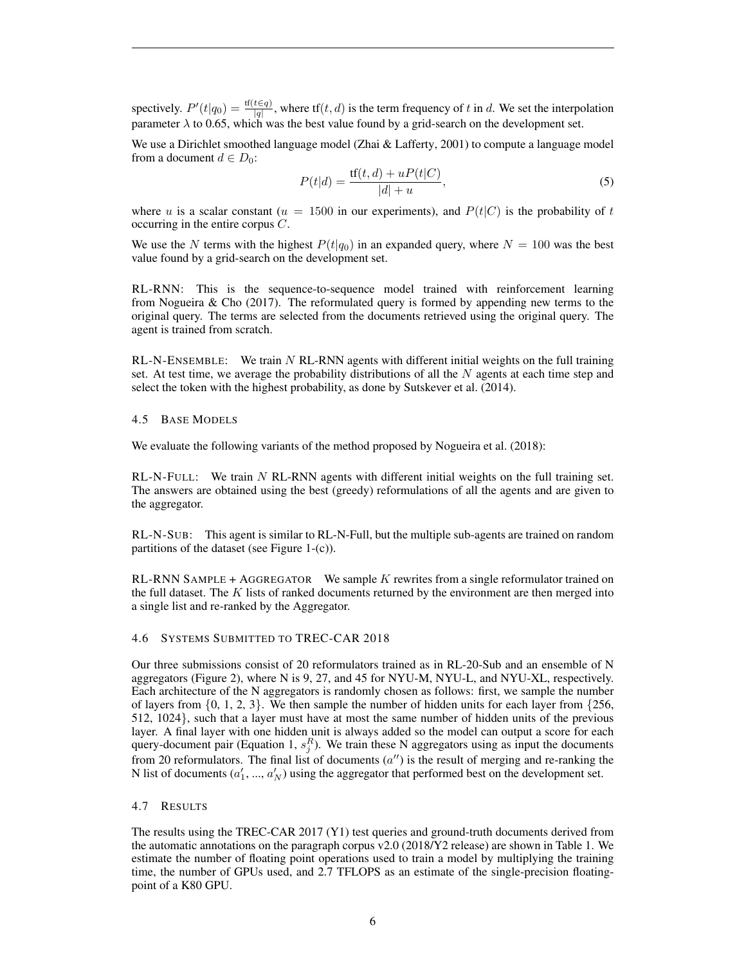spectively.  $P'(t|q_0) = \frac{tf(t \in q)}{|q|}$ , where tf $(t, d)$  is the term frequency of t in d. We set the interpolation parameter  $\lambda$  to 0.65, which was the best value found by a grid-search on the development set.

We use a Dirichlet smoothed language model (Zhai & Lafferty, 2001) to compute a language model from a document  $d \in D_0$ :

$$
P(t|d) = \frac{tf(t, d) + uP(t|C)}{|d| + u},
$$
\n(5)

where u is a scalar constant ( $u = 1500$  in our experiments), and  $P(t|C)$  is the probability of t occurring in the entire corpus C.

We use the N terms with the highest  $P(t|q_0)$  in an expanded query, where  $N = 100$  was the best value found by a grid-search on the development set.

RL-RNN: This is the sequence-to-sequence model trained with reinforcement learning from Nogueira  $\&$  Cho (2017). The reformulated query is formed by appending new terms to the original query. The terms are selected from the documents retrieved using the original query. The agent is trained from scratch.

 $RL-N-ENSEMBLE:$  We train N RL-RNN agents with different initial weights on the full training set. At test time, we average the probability distributions of all the  $N$  agents at each time step and select the token with the highest probability, as done by Sutskever et al. (2014).

#### 4.5 BASE MODELS

We evaluate the following variants of the method proposed by Nogueira et al. (2018):

 $RL-N-FULL:$  We train N RL-RNN agents with different initial weights on the full training set. The answers are obtained using the best (greedy) reformulations of all the agents and are given to the aggregator.

RL-N-SUB: This agent is similar to RL-N-Full, but the multiple sub-agents are trained on random partitions of the dataset (see Figure 1-(c)).

RL-RNN SAMPLE + AGGREGATOR We sample  $K$  rewrites from a single reformulator trained on the full dataset. The  $K$  lists of ranked documents returned by the environment are then merged into a single list and re-ranked by the Aggregator.

## 4.6 SYSTEMS SUBMITTED TO TREC-CAR 2018

Our three submissions consist of 20 reformulators trained as in RL-20-Sub and an ensemble of N aggregators (Figure 2), where N is 9, 27, and 45 for NYU-M, NYU-L, and NYU-XL, respectively. Each architecture of the N aggregators is randomly chosen as follows: first, we sample the number of layers from  $\{0, 1, 2, 3\}$ . We then sample the number of hidden units for each layer from  $\{256$ , 512, 1024}, such that a layer must have at most the same number of hidden units of the previous layer. A final layer with one hidden unit is always added so the model can output a score for each query-document pair (Equation 1,  $s_j^R$ ). We train these N aggregators using as input the documents from 20 reformulators. The final list of documents  $(a'')$  is the result of merging and re-ranking the N list of documents  $(a'_1, ..., a'_N)$  using the aggregator that performed best on the development set.

#### 4.7 RESULTS

The results using the TREC-CAR 2017 (Y1) test queries and ground-truth documents derived from the automatic annotations on the paragraph corpus v2.0 (2018/Y2 release) are shown in Table 1. We estimate the number of floating point operations used to train a model by multiplying the training time, the number of GPUs used, and 2.7 TFLOPS as an estimate of the single-precision floatingpoint of a K80 GPU.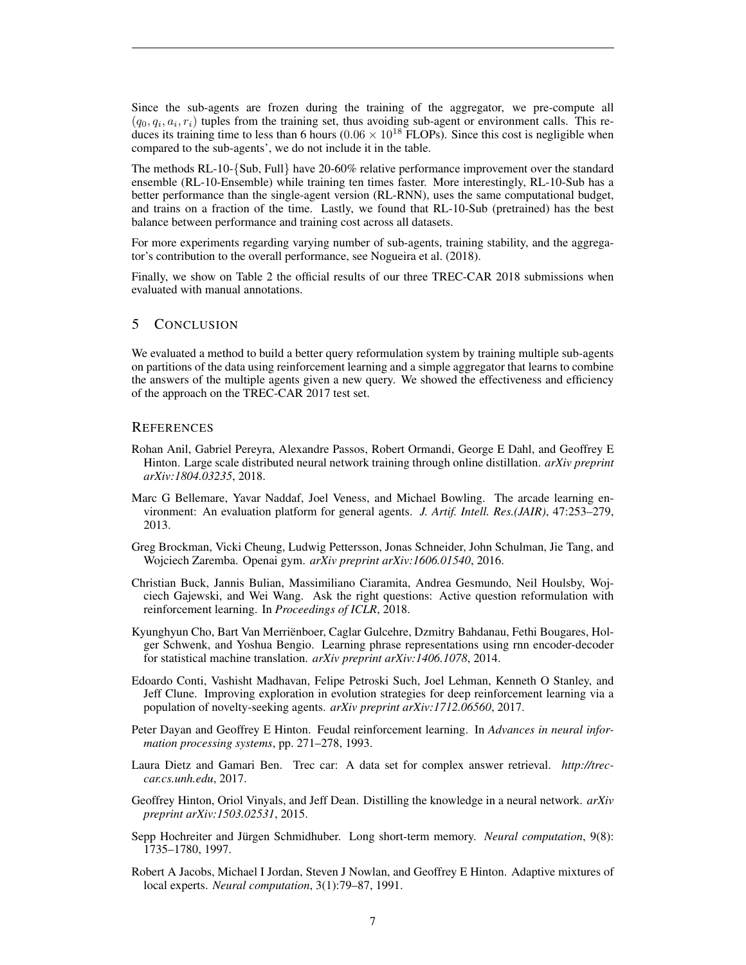Since the sub-agents are frozen during the training of the aggregator, we pre-compute all  $(q_0, q_i, a_i, r_i)$  tuples from the training set, thus avoiding sub-agent or environment calls. This reduces its training time to less than 6 hours ( $0.06 \times 10^{18}$  FLOPs). Since this cost is negligible when compared to the sub-agents', we do not include it in the table.

The methods RL-10-{Sub, Full} have 20-60% relative performance improvement over the standard ensemble (RL-10-Ensemble) while training ten times faster. More interestingly, RL-10-Sub has a better performance than the single-agent version (RL-RNN), uses the same computational budget, and trains on a fraction of the time. Lastly, we found that RL-10-Sub (pretrained) has the best balance between performance and training cost across all datasets.

For more experiments regarding varying number of sub-agents, training stability, and the aggregator's contribution to the overall performance, see Nogueira et al. (2018).

Finally, we show on Table 2 the official results of our three TREC-CAR 2018 submissions when evaluated with manual annotations.

### 5 CONCLUSION

We evaluated a method to build a better query reformulation system by training multiple sub-agents on partitions of the data using reinforcement learning and a simple aggregator that learns to combine the answers of the multiple agents given a new query. We showed the effectiveness and efficiency of the approach on the TREC-CAR 2017 test set.

#### **REFERENCES**

- Rohan Anil, Gabriel Pereyra, Alexandre Passos, Robert Ormandi, George E Dahl, and Geoffrey E Hinton. Large scale distributed neural network training through online distillation. *arXiv preprint arXiv:1804.03235*, 2018.
- Marc G Bellemare, Yavar Naddaf, Joel Veness, and Michael Bowling. The arcade learning environment: An evaluation platform for general agents. *J. Artif. Intell. Res.(JAIR)*, 47:253–279, 2013.
- Greg Brockman, Vicki Cheung, Ludwig Pettersson, Jonas Schneider, John Schulman, Jie Tang, and Wojciech Zaremba. Openai gym. *arXiv preprint arXiv:1606.01540*, 2016.
- Christian Buck, Jannis Bulian, Massimiliano Ciaramita, Andrea Gesmundo, Neil Houlsby, Wojciech Gajewski, and Wei Wang. Ask the right questions: Active question reformulation with reinforcement learning. In *Proceedings of ICLR*, 2018.
- Kyunghyun Cho, Bart Van Merrienboer, Caglar Gulcehre, Dzmitry Bahdanau, Fethi Bougares, Hol- ¨ ger Schwenk, and Yoshua Bengio. Learning phrase representations using rnn encoder-decoder for statistical machine translation. *arXiv preprint arXiv:1406.1078*, 2014.
- Edoardo Conti, Vashisht Madhavan, Felipe Petroski Such, Joel Lehman, Kenneth O Stanley, and Jeff Clune. Improving exploration in evolution strategies for deep reinforcement learning via a population of novelty-seeking agents. *arXiv preprint arXiv:1712.06560*, 2017.
- Peter Dayan and Geoffrey E Hinton. Feudal reinforcement learning. In *Advances in neural information processing systems*, pp. 271–278, 1993.
- Laura Dietz and Gamari Ben. Trec car: A data set for complex answer retrieval. *http://treccar.cs.unh.edu*, 2017.
- Geoffrey Hinton, Oriol Vinyals, and Jeff Dean. Distilling the knowledge in a neural network. *arXiv preprint arXiv:1503.02531*, 2015.
- Sepp Hochreiter and Jürgen Schmidhuber. Long short-term memory. Neural computation, 9(8): 1735–1780, 1997.
- Robert A Jacobs, Michael I Jordan, Steven J Nowlan, and Geoffrey E Hinton. Adaptive mixtures of local experts. *Neural computation*, 3(1):79–87, 1991.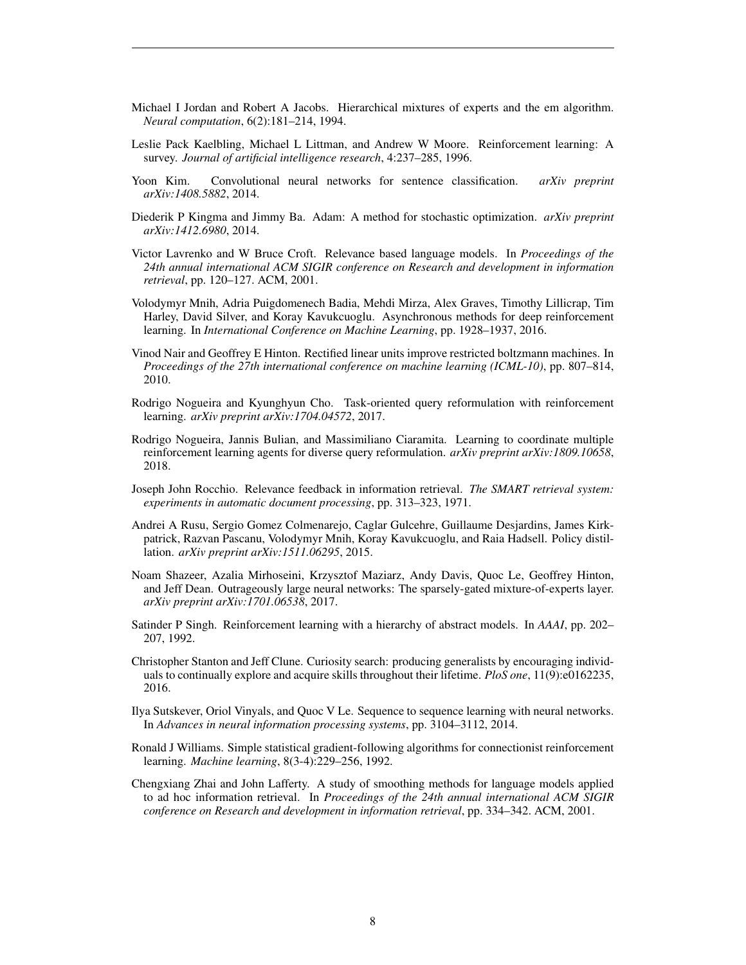- Michael I Jordan and Robert A Jacobs. Hierarchical mixtures of experts and the em algorithm. *Neural computation*, 6(2):181–214, 1994.
- Leslie Pack Kaelbling, Michael L Littman, and Andrew W Moore. Reinforcement learning: A survey. *Journal of artificial intelligence research*, 4:237–285, 1996.
- Yoon Kim. Convolutional neural networks for sentence classification. *arXiv preprint arXiv:1408.5882*, 2014.
- Diederik P Kingma and Jimmy Ba. Adam: A method for stochastic optimization. *arXiv preprint arXiv:1412.6980*, 2014.
- Victor Lavrenko and W Bruce Croft. Relevance based language models. In *Proceedings of the 24th annual international ACM SIGIR conference on Research and development in information retrieval*, pp. 120–127. ACM, 2001.
- Volodymyr Mnih, Adria Puigdomenech Badia, Mehdi Mirza, Alex Graves, Timothy Lillicrap, Tim Harley, David Silver, and Koray Kavukcuoglu. Asynchronous methods for deep reinforcement learning. In *International Conference on Machine Learning*, pp. 1928–1937, 2016.
- Vinod Nair and Geoffrey E Hinton. Rectified linear units improve restricted boltzmann machines. In *Proceedings of the 27th international conference on machine learning (ICML-10)*, pp. 807–814, 2010.
- Rodrigo Nogueira and Kyunghyun Cho. Task-oriented query reformulation with reinforcement learning. *arXiv preprint arXiv:1704.04572*, 2017.
- Rodrigo Nogueira, Jannis Bulian, and Massimiliano Ciaramita. Learning to coordinate multiple reinforcement learning agents for diverse query reformulation. *arXiv preprint arXiv:1809.10658*, 2018.
- Joseph John Rocchio. Relevance feedback in information retrieval. *The SMART retrieval system: experiments in automatic document processing*, pp. 313–323, 1971.
- Andrei A Rusu, Sergio Gomez Colmenarejo, Caglar Gulcehre, Guillaume Desjardins, James Kirkpatrick, Razvan Pascanu, Volodymyr Mnih, Koray Kavukcuoglu, and Raia Hadsell. Policy distillation. *arXiv preprint arXiv:1511.06295*, 2015.
- Noam Shazeer, Azalia Mirhoseini, Krzysztof Maziarz, Andy Davis, Quoc Le, Geoffrey Hinton, and Jeff Dean. Outrageously large neural networks: The sparsely-gated mixture-of-experts layer. *arXiv preprint arXiv:1701.06538*, 2017.
- Satinder P Singh. Reinforcement learning with a hierarchy of abstract models. In *AAAI*, pp. 202– 207, 1992.
- Christopher Stanton and Jeff Clune. Curiosity search: producing generalists by encouraging individuals to continually explore and acquire skills throughout their lifetime. *PloS one*, 11(9):e0162235, 2016.
- Ilya Sutskever, Oriol Vinyals, and Quoc V Le. Sequence to sequence learning with neural networks. In *Advances in neural information processing systems*, pp. 3104–3112, 2014.
- Ronald J Williams. Simple statistical gradient-following algorithms for connectionist reinforcement learning. *Machine learning*, 8(3-4):229–256, 1992.
- Chengxiang Zhai and John Lafferty. A study of smoothing methods for language models applied to ad hoc information retrieval. In *Proceedings of the 24th annual international ACM SIGIR conference on Research and development in information retrieval*, pp. 334–342. ACM, 2001.